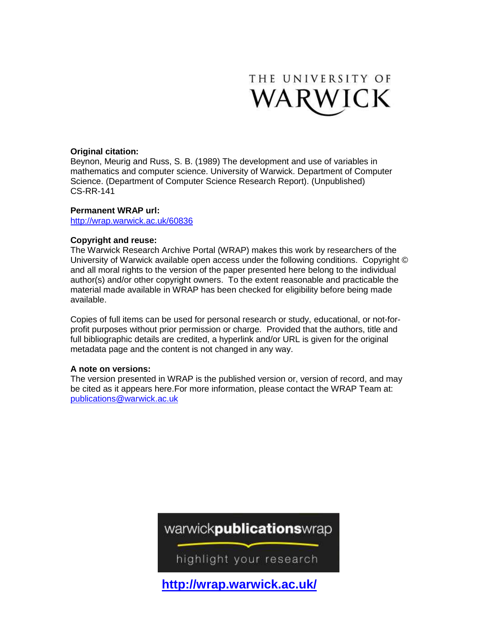

# **Original citation:**

Beynon, Meurig and Russ, S. B. (1989) The development and use of variables in mathematics and computer science. University of Warwick. Department of Computer Science. (Department of Computer Science Research Report). (Unpublished) CS-RR-141

# **Permanent WRAP url:**

<http://wrap.warwick.ac.uk/60836>

# **Copyright and reuse:**

The Warwick Research Archive Portal (WRAP) makes this work by researchers of the University of Warwick available open access under the following conditions. Copyright © and all moral rights to the version of the paper presented here belong to the individual author(s) and/or other copyright owners. To the extent reasonable and practicable the material made available in WRAP has been checked for eligibility before being made available.

Copies of full items can be used for personal research or study, educational, or not-forprofit purposes without prior permission or charge. Provided that the authors, title and full bibliographic details are credited, a hyperlink and/or URL is given for the original metadata page and the content is not changed in any way.

# **A note on versions:**

The version presented in WRAP is the published version or, version of record, and may be cited as it appears here.For more information, please contact the WRAP Team at: [publications@warwick.ac.uk](mailto:publications@warwick.ac.uk)

warwick**publications**wrap

highlight your research

**<http://wrap.warwick.ac.uk/>**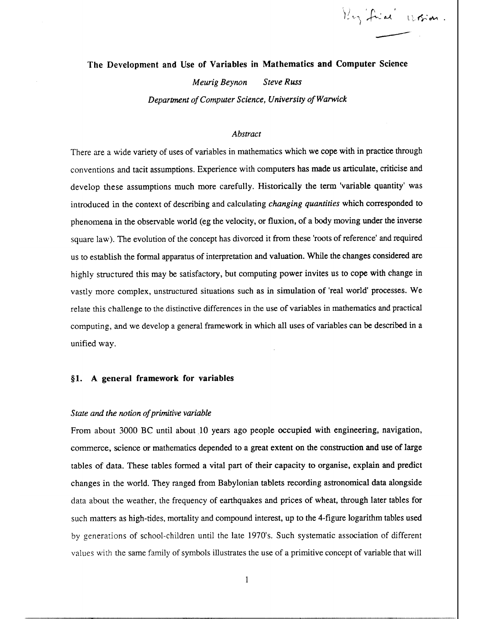Key Frial Workin

# **The Development and Use of Variables in Mathematics and Computer Science**

*Meurig Beynon Steve Russ* 

*Department of Computer Science, University of Warwick* 

### *Abstract*

There are a wide variety of uses of variables in mathematics which we cope with in practice through conventions and tacit assumptions. Experience with computers has made us articulate, criticise and develop these assumptions much more carefully. Historically the term 'variable quantity' was introduced in the context of describing and calculating *changing quantities* which corresponded to phenomena in the observable world (eg the velocity, or fluxion, of a body moving under the inverse square law). The evolution of the concept has divorced it from these 'roots of reference' and required us to establish the formal apparatus of interpretation and valuation. While the changes considered are highly structured this may be satisfactory, but computing power invites us to cope with change in vastly more complex, unstructured situations such as in simulation of 'real world' processes. We relate this challenge to the distinctive differences in the use of variables in mathematics and practical computing, and we develop a general framework in which all uses of variables can be described in a unified way.

### **§1. A general framework for variables**

### *State and the notion of primitive variable*

From about 3000 BC until about 10 years ago people occupied with engineering, navigation, commerce, science or mathematics depended to a great extent on the construction **and** use of large tables of data. These tables formed a vital part of their capacity to organise, explain and predict changes in the world. They ranged from Babylonian tablets recording astronomical data alongside data about the weather, the frequency of earthquakes and prices of wheat, through later tables for such matters as high-tides, mortality and compound interest, up to the 4-figure logarithm tables used by generations of school-children until the late 1970's. Such systematic association of different values with the same family of symbols illustrates the use of a primitive concept of variable that will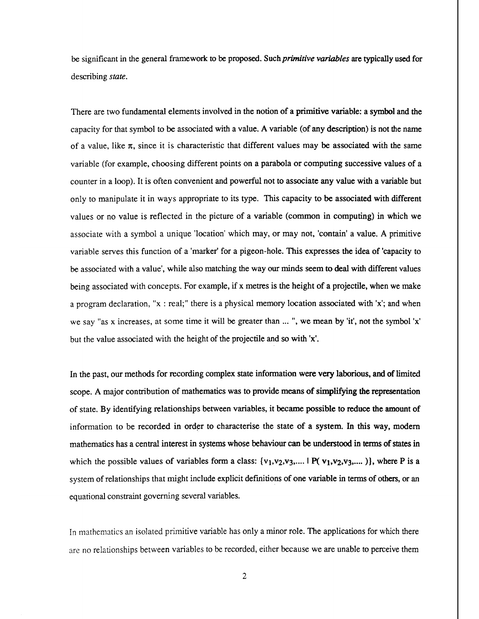be significant in the general framework to be proposed. Such *primitive variables are* typically used for describing *state.* 

There are two fundamental elements involved in the notion of a primitive variable: a symbol and the capacity for that symbol to be associated with a value. A variable (of any description) is not the name of a value, like  $\pi$ , since it is characteristic that different values may be associated with the same variable (for example, choosing different points on a parabola or computing successive values of a counter in a loop). It is often convenient and powerful not to associate any value with a variable but only to manipulate it in ways appropriate to its type. This capacity to be associated with different values or no value is reflected in the picture of a variable (common in computing) in which we associate with a symbol a unique 'location' which may, or may not, 'contain' a value. A primitive variable serves this function of a 'marker' for a pigeon-hole. This expresses the idea of 'capacity to be associated with a value', while also matching the way our minds seem to deal with different values being associated with concepts. For example, if x metres is the height of a projectile, when we make a program declaration, "x : real;" there is a physical memory location associated with 'x'; and when we say "as x increases, at some time it will be greater than ... ", we mean by 'it', not the symbol 'x' but the value associated with the height of the projectile and so with 'x'.

**In the past, our methods for recording complex state information were very laborious, and of** limited **scope. A major contribution of mathematics was to provide means of simplifying the representation of state. By identifying relationships between variables, it became possible to reduce the amount of information to be recorded in order to characterise the state of a system. In this way, modem mathematics has a central interest in systems whose behaviour can be understood in terms of states in**  which the possible values of variables form a class:  $\{v_1, v_2, v_3, \dots \mid P(v_1, v_2, v_3, \dots)\}$ , where P is a system of relationships that might include explicit definitions of one variable in terms of others, or an equational constraint governing several variables.

In mathematics an isolated primitive variable has only a minor role. The applications for which there are no relationships between variables to be recorded, either because we are unable to perceive them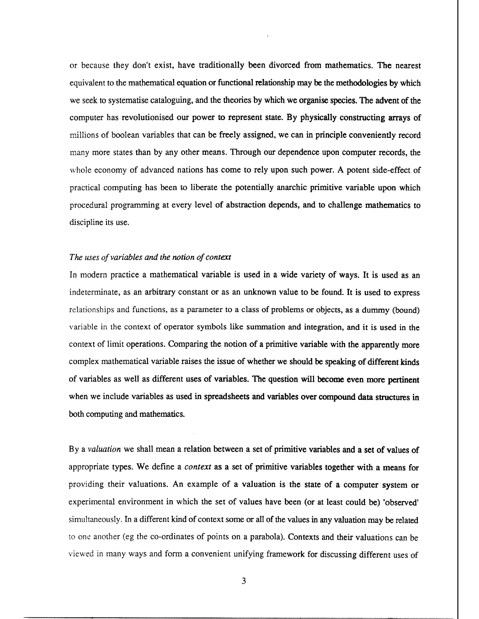or because they don't exist, have **traditionally been divorced from mathematics. The nearest**  equivalent to the mathematical **equation or functional relationship may be the methodologies by which**  we seek to systematise cataloguing, and the theories **by which we organise species. The advent of the**  computer has revolutionised our power **to represent state. By physically constructing arrays** of millions of boolean variables that can be freely assigned, we can in principle conveniently record many more states than by any other means. Through our dependence upon computer records, the whole economy of advanced nations has come to rely upon such power. A potent side-effect of practical computing has been to liberate the potentially anarchic primitive variable upon which procedural programming at every level of abstraction depends, **and to challenge mathematics to discipline its use.** 

### *The uses of variables and the notion of context*

In modern practice a mathematical variable is used in a wide variety of ways. **It is** used as an indeterminate, as an arbitrary constant or as an unknown value to be found. **It is** used to express relationships and functions, as a parameter to a class of problems or objects, as a dummy (bound) variable in the context of operator symbols like summation and integration, and it is used in the context of limit operations. Comparing the notion of a primitive variable with **the apparently** more complex mathematical variable raises the issue of whether we should **be speaking of different kinds of variables as well as different uses of variables.** The question will **become even more pertinent when we include variables as used in spreadsheets and variables over compound data structures in both computing and mathematics.** 

By *a valuation* we shall mean a relation between a set of primitive variables **and a set of values of**  appropriate types. We define a *context as* a set of primitive variables together with a means for providing their valuations. An example of a valuation is the state of a computer system or experimental environment in which the set of values have been (or at least could be) 'observed' simultaneously. In a different kind of context some or all of the values in any valuation may be related to one another (eg the co-ordinates of points on a parabola). Contexts and their valuations can be viewed in many ways and form a convenient unifying framework for discussing different uses of

3